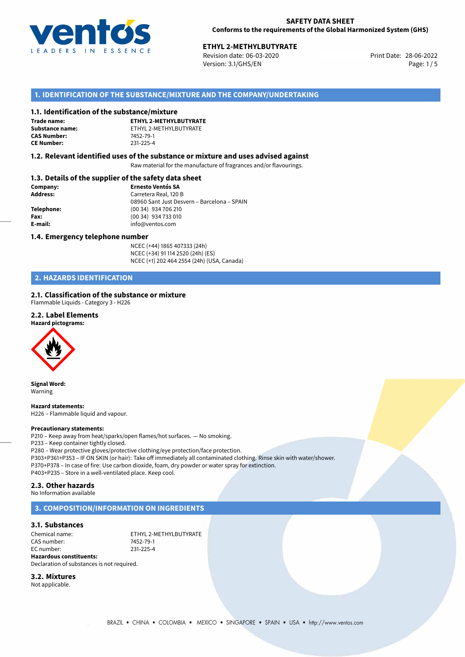

# **ETHYL 2-METHYLBUTYRATE**<br>
Revision date: 06-03-2020<br> **Print Date: 28-06-2022**

Revision date: 06-03-2020 Version: 3.1/GHS/EN Page: 1 / 5

## **1. IDENTIFICATION OF THE SUBSTANCE/MIXTURE AND THE COMPANY/UNDERTAKING**

#### **1.1. Identification of the substance/mixture**

**Trade name: CAS Number: CE Number:** 231-225-4

**ETHYL 2-METHYLBUTYRATE Substance name:** ETHYL 2-METHYLBUTYRATE<br> **CAS Number:** 7452-79-1

#### **1.2. Relevant identified uses of the substance or mixture and uses advised against**

Raw material for the manufacture of fragrances and/or flavourings.

## **1.3. Details of the supplier of the safety data sheet**

| Company:        | <b>Ernesto Ventós SA</b>                    |
|-----------------|---------------------------------------------|
| <b>Address:</b> | Carretera Real, 120 B                       |
|                 | 08960 Sant Just Desvern - Barcelona - SPAIN |
| Telephone:      | (00 34) 934 706 210                         |
| Fax:            | (00 34) 934 733 010                         |
| E-mail:         | info@ventos.com                             |
|                 |                                             |

#### **1.4. Emergency telephone number**

NCEC (+44) 1865 407333 (24h) NCEC (+34) 91 114 2520 (24h) (ES) NCEC (+1) 202 464 2554 (24h) (USA, Canada)

# **2. HAZARDS IDENTIFICATION**

#### **2.1. Classification of the substance or mixture**

Flammable Liquids - Category 3 - H226

#### **2.2. Label Elements**

**Hazard pictograms:**



**Signal Word:** Warning

**Hazard statements:** H226 – Flammable liquid and vapour.

#### **Precautionary statements:**

P210 – Keep away from heat/sparks/open flames/hot surfaces. — No smoking. P233 – Keep container tightly closed. P280 – Wear protective gloves/protective clothing/eye protection/face protection. P303+P361+P353 – IF ON SKIN (or hair): Take off immediately all contaminated clothing. Rinse skin with water/shower. P370+P378 – In case of fire: Use carbon dioxide, foam, dry powder or water spray for extinction. P403+P235 – Store in a well-ventilated place. Keep cool.

#### **2.3. Other hazards**

No Information available

#### **3. COMPOSITION/INFORMATION ON INGREDIENTS**

#### **3.1. Substances**

Chemical name: ETHYL 2-METHYLBUTYRATE<br>CAS number: T452-79-1 CAS number: 7452-79-1<br>EC number: 231-225-4 EC number: **Hazardous constituents:**

Declaration of substances is not required.

**3.2. Mixtures**

Not applicable.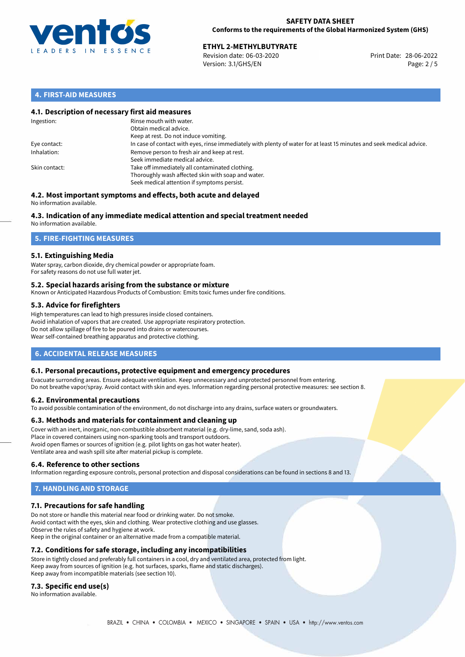

# **ETHYL 2-METHYLBUTYRATE**<br>
Revision date: 06-03-2020<br> **Print Date: 28-06-2022**

Revision date: 06-03-2020 Version: 3.1/GHS/EN Page: 2 / 5

## **4. FIRST-AID MEASURES**

### **4.1. Description of necessary first aid measures**

| Ingestion:    | Rinse mouth with water.<br>Obtain medical advice.<br>Keep at rest. Do not induce vomiting.                                                           |
|---------------|------------------------------------------------------------------------------------------------------------------------------------------------------|
| Eye contact:  | In case of contact with eyes, rinse immediately with plenty of water for at least 15 minutes and seek medical advice.                                |
| Inhalation:   | Remove person to fresh air and keep at rest.<br>Seek immediate medical advice.                                                                       |
| Skin contact: | Take off immediately all contaminated clothing.<br>Thoroughly wash affected skin with soap and water.<br>Seek medical attention if symptoms persist. |

#### **4.2. Most important symptoms and effects, both acute and delayed** No information available.

# **4.3. Indication of any immediate medical attention and special treatment needed**

No information available.

# **5. FIRE-FIGHTING MEASURES**

## **5.1. Extinguishing Media**

Water spray, carbon dioxide, dry chemical powder or appropriate foam. For safety reasons do not use full water jet.

#### **5.2. Special hazards arising from the substance or mixture**

Known or Anticipated Hazardous Products of Combustion: Emits toxic fumes under fire conditions.

## **5.3. Advice for firefighters**

High temperatures can lead to high pressures inside closed containers. Avoid inhalation of vapors that are created. Use appropriate respiratory protection. Do not allow spillage of fire to be poured into drains or watercourses. Wear self-contained breathing apparatus and protective clothing.

# **6. ACCIDENTAL RELEASE MEASURES**

#### **6.1. Personal precautions, protective equipment and emergency procedures**

Evacuate surronding areas. Ensure adequate ventilation. Keep unnecessary and unprotected personnel from entering. Do not breathe vapor/spray. Avoid contact with skin and eyes. Information regarding personal protective measures: see section 8.

#### **6.2. Environmental precautions**

To avoid possible contamination of the environment, do not discharge into any drains, surface waters or groundwaters.

#### **6.3. Methods and materials for containment and cleaning up**

Cover with an inert, inorganic, non-combustible absorbent material (e.g. dry-lime, sand, soda ash). Place in covered containers using non-sparking tools and transport outdoors. Avoid open flames or sources of ignition (e.g. pilot lights on gas hot water heater). Ventilate area and wash spill site after material pickup is complete.

#### **6.4. Reference to other sections**

Information regarding exposure controls, personal protection and disposal considerations can be found in sections 8 and 13.

# **7. HANDLING AND STORAGE**

#### **7.1. Precautions for safe handling**

Do not store or handle this material near food or drinking water. Do not smoke. Avoid contact with the eyes, skin and clothing. Wear protective clothing and use glasses. Observe the rules of safety and hygiene at work. Keep in the original container or an alternative made from a compatible material.

### **7.2. Conditions for safe storage, including any incompatibilities**

Store in tightly closed and preferably full containers in a cool, dry and ventilated area, protected from light. Keep away from sources of ignition (e.g. hot surfaces, sparks, flame and static discharges). Keep away from incompatible materials (see section 10).

#### **7.3. Specific end use(s)**

No information available.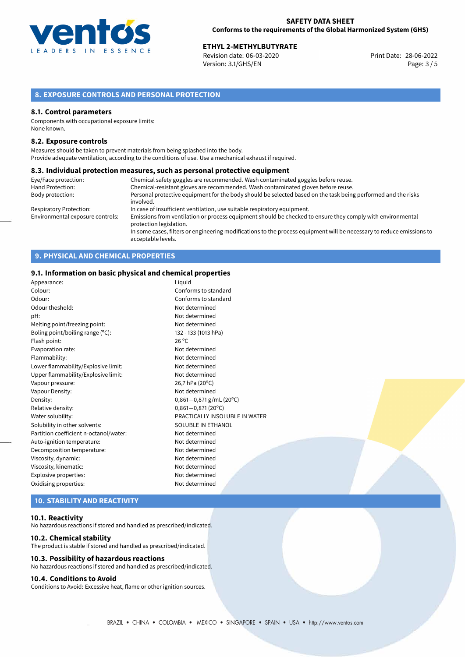

# **ETHYL 2-METHYLBUTYRATE**<br>
Revision date: 06-03-2020<br> **EXECUTE:** Print Date: 28-06-2022

Revision date: 06-03-2020 Version: 3.1/GHS/EN Page: 3 / 5

# **8. EXPOSURE CONTROLS AND PERSONAL PROTECTION**

#### **8.1. Control parameters**

Components with occupational exposure limits: None known.

#### **8.2. Exposure controls**

Measures should be taken to prevent materials from being splashed into the body. Provide adequate ventilation, according to the conditions of use. Use a mechanical exhaust if required.

#### **8.3. Individual protection measures, such as personal protective equipment**

| Eye/Face protection:             | Chemical safety goggles are recommended. Wash contaminated goggles before reuse.                                                            |
|----------------------------------|---------------------------------------------------------------------------------------------------------------------------------------------|
| Hand Protection:                 | Chemical-resistant gloves are recommended. Wash contaminated gloves before reuse.                                                           |
| Body protection:                 | Personal protective equipment for the body should be selected based on the task being performed and the risks                               |
|                                  | involved.                                                                                                                                   |
| Respiratory Protection:          | In case of insufficient ventilation, use suitable respiratory equipment.                                                                    |
| Environmental exposure controls: | Emissions from ventilation or process equipment should be checked to ensure they comply with environmental<br>protection legislation.       |
|                                  | In some cases, filters or engineering modifications to the process equipment will be necessary to reduce emissions to<br>acceptable levels. |

# **9. PHYSICAL AND CHEMICAL PROPERTIES**

## **9.1. Information on basic physical and chemical properties**

| Appearance:                            | Liquid                         |
|----------------------------------------|--------------------------------|
| Colour:                                | Conforms to standard           |
| Odour:                                 | Conforms to standard           |
| Odour theshold:                        | Not determined                 |
| pH:                                    | Not determined                 |
| Melting point/freezing point:          | Not determined                 |
| Boling point/boiling range (°C):       | 132 - 133 (1013 hPa)           |
| Flash point:                           | $26^{\circ}$ C                 |
| Evaporation rate:                      | Not determined                 |
| Flammability:                          | Not determined                 |
| Lower flammability/Explosive limit:    | Not determined                 |
| Upper flammability/Explosive limit:    | Not determined                 |
| Vapour pressure:                       | 26,7 hPa (20°C)                |
| Vapour Density:                        | Not determined                 |
| Density:                               | $0,861-0,871$ g/mL (20°C)      |
| Relative density:                      | $0,861 - 0,871(20°C)$          |
| Water solubility:                      | PRACTICALLY INSOLUBLE IN WATER |
| Solubility in other solvents:          | SOLUBLE IN ETHANOL             |
| Partition coefficient n-octanol/water: | Not determined                 |
| Auto-ignition temperature:             | Not determined                 |
| Decomposition temperature:             | Not determined                 |
| Viscosity, dynamic:                    | Not determined                 |
| Viscosity, kinematic:                  | Not determined                 |
| Explosive properties:                  | Not determined                 |
| Oxidising properties:                  | Not determined                 |
|                                        |                                |

# **10. STABILITY AND REACTIVITY**

#### **10.1. Reactivity**

No hazardous reactions if stored and handled as prescribed/indicated.

#### **10.2. Chemical stability**

The product is stable if stored and handled as prescribed/indicated.

#### **10.3. Possibility of hazardous reactions**

No hazardous reactions if stored and handled as prescribed/indicated.

#### **10.4. Conditions to Avoid**

Conditions to Avoid: Excessive heat, flame or other ignition sources.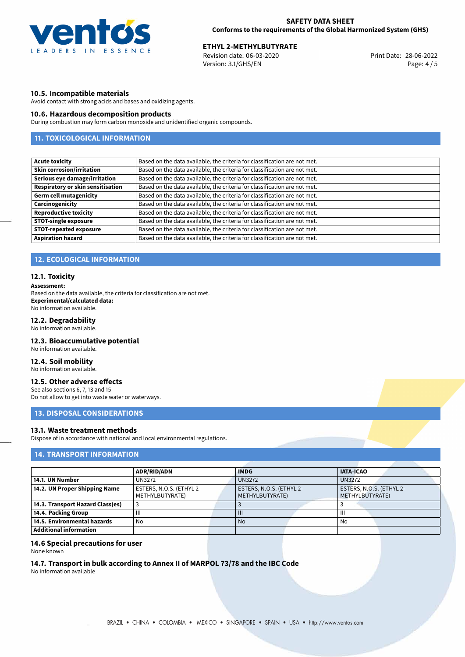

# **ETHYL 2-METHYLBUTYRATE**<br>
Revision date: 06-03-2020<br> **EXECUTE:** Print Date: 28-06-2022

Revision date: 06-03-2020 Version: 3.1/GHS/EN Page: 4 / 5

#### **10.5. Incompatible materials**

Avoid contact with strong acids and bases and oxidizing agents.

#### **10.6. Hazardous decomposition products**

During combustion may form carbon monoxide and unidentified organic compounds.

# **11. TOXICOLOGICAL INFORMATION**

| <b>Acute toxicity</b>             | Based on the data available, the criteria for classification are not met. |
|-----------------------------------|---------------------------------------------------------------------------|
| <b>Skin corrosion/irritation</b>  | Based on the data available, the criteria for classification are not met. |
| Serious eye damage/irritation     | Based on the data available, the criteria for classification are not met. |
| Respiratory or skin sensitisation | Based on the data available, the criteria for classification are not met. |
| <b>Germ cell mutagenicity</b>     | Based on the data available, the criteria for classification are not met. |
| Carcinogenicity                   | Based on the data available, the criteria for classification are not met. |
| <b>Reproductive toxicity</b>      | Based on the data available, the criteria for classification are not met. |
| <b>STOT-single exposure</b>       | Based on the data available, the criteria for classification are not met. |
| <b>STOT-repeated exposure</b>     | Based on the data available, the criteria for classification are not met. |
| <b>Aspiration hazard</b>          | Based on the data available, the criteria for classification are not met. |

# **12. ECOLOGICAL INFORMATION**

#### **12.1. Toxicity**

#### **Assessment:**

Based on the data available, the criteria for classification are not met. **Experimental/calculated data:** No information available.

### **12.2. Degradability**

No information available.

### **12.3. Bioaccumulative potential**

No information available.

#### **12.4. Soil mobility**

No information available.

# **12.5. Other adverse effects**

See also sections 6, 7, 13 and 15 Do not allow to get into waste water or waterways.

### **13. DISPOSAL CONSIDERATIONS**

#### **13.1. Waste treatment methods**

Dispose of in accordance with national and local environmental regulations.

## **14. TRANSPORT INFORMATION**

|                                  | <b>ADR/RID/ADN</b>       |  | <b>IMDG</b>              |  | <b>IATA-ICAO</b>         |  |
|----------------------------------|--------------------------|--|--------------------------|--|--------------------------|--|
| 14.1. UN Number                  | <b>UN3272</b>            |  | <b>UN3272</b>            |  | <b>UN3272</b>            |  |
| 14.2. UN Proper Shipping Name    | ESTERS, N.O.S. (ETHYL 2- |  | ESTERS, N.O.S. (ETHYL 2- |  | ESTERS, N.O.S. (ETHYL 2- |  |
|                                  | METHYLBUTYRATE)          |  | METHYLBUTYRATE)          |  | METHYLBUTYRATE)          |  |
| 14.3. Transport Hazard Class(es) |                          |  |                          |  |                          |  |
| 14.4. Packing Group              | Ш                        |  | $\mathbf{III}$           |  | Ш                        |  |
| 14.5. Environmental hazards      | No                       |  | <b>No</b>                |  | No                       |  |
| <b>Additional information</b>    |                          |  |                          |  |                          |  |

### **14.6 Special precautions for user**

None known

# **14.7. Transport in bulk according to Annex II of MARPOL 73/78 and the IBC Code**

No information available